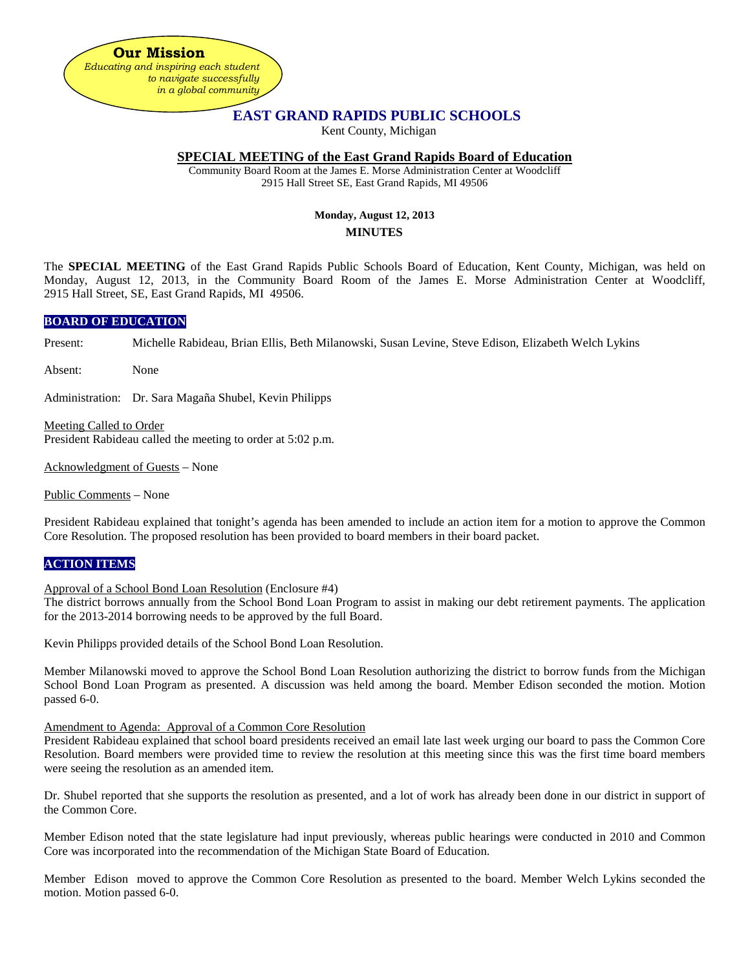**Our Mission** *Educating and inspiring each student to navigate successfully in a global community*

# **EAST GRAND RAPIDS PUBLIC SCHOOLS**

Kent County, Michigan

### **SPECIAL MEETING of the East Grand Rapids Board of Education**

Community Board Room at the James E. Morse Administration Center at Woodcliff 2915 Hall Street SE, East Grand Rapids, MI 49506

## **Monday, August 12, 2013 MINUTES**

The **SPECIAL MEETING** of the East Grand Rapids Public Schools Board of Education, Kent County, Michigan, was held on Monday, August 12, 2013, in the Community Board Room of the James E. Morse Administration Center at Woodcliff, 2915 Hall Street, SE, East Grand Rapids, MI 49506.

### **BOARD OF EDUCATION**

Present: Michelle Rabideau, Brian Ellis, Beth Milanowski, Susan Levine, Steve Edison, Elizabeth Welch Lykins

Absent: None

Administration: Dr. Sara Magaña Shubel, Kevin Philipps

Meeting Called to Order President Rabideau called the meeting to order at 5:02 p.m.

Acknowledgment of Guests – None

Public Comments – None

President Rabideau explained that tonight's agenda has been amended to include an action item for a motion to approve the Common Core Resolution. The proposed resolution has been provided to board members in their board packet.

### **ACTION ITEMS**

Approval of a School Bond Loan Resolution (Enclosure #4)

The district borrows annually from the School Bond Loan Program to assist in making our debt retirement payments. The application for the 2013-2014 borrowing needs to be approved by the full Board.

Kevin Philipps provided details of the School Bond Loan Resolution.

Member Milanowski moved to approve the School Bond Loan Resolution authorizing the district to borrow funds from the Michigan School Bond Loan Program as presented. A discussion was held among the board. Member Edison seconded the motion. Motion passed 6-0.

### Amendment to Agenda: Approval of a Common Core Resolution

President Rabideau explained that school board presidents received an email late last week urging our board to pass the Common Core Resolution. Board members were provided time to review the resolution at this meeting since this was the first time board members were seeing the resolution as an amended item.

Dr. Shubel reported that she supports the resolution as presented, and a lot of work has already been done in our district in support of the Common Core.

Member Edison noted that the state legislature had input previously, whereas public hearings were conducted in 2010 and Common Core was incorporated into the recommendation of the Michigan State Board of Education.

Member Edison moved to approve the Common Core Resolution as presented to the board. Member Welch Lykins seconded the motion. Motion passed 6-0.